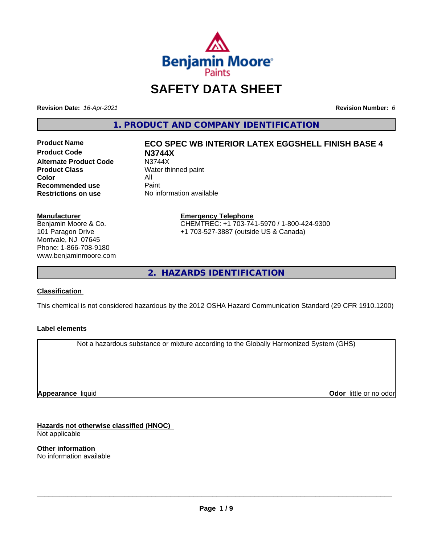

# **SAFETY DATA SHEET**

**Revision Date:** *16-Apr-2021* **Revision Number:** *6*

**1. PRODUCT AND COMPANY IDENTIFICATION**

**Product Code N3744X Alternate Product Code M3744X**<br> **Product Class Mater th** Water th **Color** All<br> **Recommended use** Paint **Recommended use**<br>Restrictions on use

# **Product Name ECO SPEC WB INTERIOR LATEX EGGSHELL FINISH BASE 4 Water thinned paint**

**No information available** 

#### **Manufacturer**

Benjamin Moore & Co. 101 Paragon Drive Montvale, NJ 07645 Phone: 1-866-708-9180 www.benjaminmoore.com

# **Emergency Telephone** CHEMTREC: +1 703-741-5970 / 1-800-424-9300 +1 703-527-3887 (outside US & Canada)

**2. HAZARDS IDENTIFICATION**

# **Classification**

This chemical is not considered hazardous by the 2012 OSHA Hazard Communication Standard (29 CFR 1910.1200)

# **Label elements**

Not a hazardous substance or mixture according to the Globally Harmonized System (GHS)

**Appearance** liquid

**Odor** little or no odor

**Hazards not otherwise classified (HNOC)** Not applicable

**Other information** No information available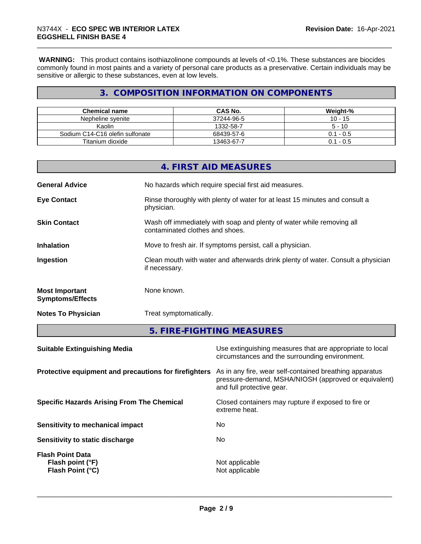**WARNING:** This product contains isothiazolinone compounds at levels of <0.1%. These substances are biocides commonly found in most paints and a variety of personal care products as a preservative. Certain individuals may be sensitive or allergic to these substances, even at low levels.

# **3. COMPOSITION INFORMATION ON COMPONENTS**

| Chemical name                   | CAS No.    | Weight-%  |
|---------------------------------|------------|-----------|
| Nepheline svenite               | 37244-96-5 | $10 - 15$ |
| Kaolin                          | 1332-58-7  | $5 - 10$  |
| Sodium C14-C16 olefin sulfonate | 68439-57-6 | 0.1 - 0.5 |
| Titanium dioxide                | 13463-67-7 | 0.1 - 0.5 |

|                                                  | 4. FIRST AID MEASURES                                                                                    |
|--------------------------------------------------|----------------------------------------------------------------------------------------------------------|
| <b>General Advice</b>                            | No hazards which require special first aid measures.                                                     |
| <b>Eye Contact</b>                               | Rinse thoroughly with plenty of water for at least 15 minutes and consult a<br>physician.                |
| <b>Skin Contact</b>                              | Wash off immediately with soap and plenty of water while removing all<br>contaminated clothes and shoes. |
| <b>Inhalation</b>                                | Move to fresh air. If symptoms persist, call a physician.                                                |
| Ingestion                                        | Clean mouth with water and afterwards drink plenty of water. Consult a physician<br>if necessary.        |
| <b>Most Important</b><br><b>Symptoms/Effects</b> | None known.                                                                                              |
| <b>Notes To Physician</b>                        | Treat symptomatically.                                                                                   |

**5. FIRE-FIGHTING MEASURES**

| <b>Suitable Extinguishing Media</b>                             | Use extinguishing measures that are appropriate to local<br>circumstances and the surrounding environment.                                   |
|-----------------------------------------------------------------|----------------------------------------------------------------------------------------------------------------------------------------------|
| Protective equipment and precautions for firefighters           | As in any fire, wear self-contained breathing apparatus<br>pressure-demand, MSHA/NIOSH (approved or equivalent)<br>and full protective gear. |
| <b>Specific Hazards Arising From The Chemical</b>               | Closed containers may rupture if exposed to fire or<br>extreme heat.                                                                         |
| Sensitivity to mechanical impact                                | No                                                                                                                                           |
| Sensitivity to static discharge                                 | No.                                                                                                                                          |
| <b>Flash Point Data</b><br>Flash point (°F)<br>Flash Point (°C) | Not applicable<br>Not applicable                                                                                                             |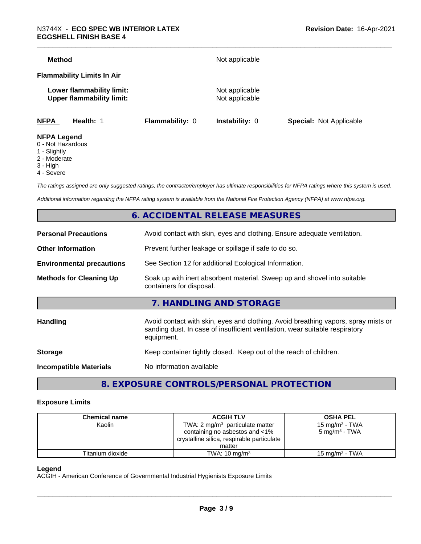| <b>Method</b>      |                                                               |                        | Not applicable                   |                                |
|--------------------|---------------------------------------------------------------|------------------------|----------------------------------|--------------------------------|
|                    | <b>Flammability Limits In Air</b>                             |                        |                                  |                                |
|                    | Lower flammability limit:<br><b>Upper flammability limit:</b> |                        | Not applicable<br>Not applicable |                                |
| <b>NFPA</b>        | Health: 1                                                     | <b>Flammability: 0</b> | <b>Instability: 0</b>            | <b>Special: Not Applicable</b> |
| <b>NFPA Legend</b> |                                                               |                        |                                  |                                |

- 0 Not Hazardous
- 1 Slightly
- 2 Moderate
- 3 High
- 4 Severe

*The ratings assigned are only suggested ratings, the contractor/employer has ultimate responsibilities for NFPA ratings where this system is used.*

*Additional information regarding the NFPA rating system is available from the National Fire Protection Agency (NFPA) at www.nfpa.org.*

# **6. ACCIDENTAL RELEASE MEASURES**

| <b>Personal Precautions</b>      | Avoid contact with skin, eyes and clothing. Ensure adequate ventilation.                                                                                                         |
|----------------------------------|----------------------------------------------------------------------------------------------------------------------------------------------------------------------------------|
| <b>Other Information</b>         | Prevent further leakage or spillage if safe to do so.                                                                                                                            |
| <b>Environmental precautions</b> | See Section 12 for additional Ecological Information.                                                                                                                            |
| <b>Methods for Cleaning Up</b>   | Soak up with inert absorbent material. Sweep up and shovel into suitable<br>containers for disposal.                                                                             |
|                                  | 7. HANDLING AND STORAGE                                                                                                                                                          |
| Handling                         | Avoid contact with skin, eyes and clothing. Avoid breathing vapors, spray mists or<br>sanding dust. In case of insufficient ventilation, wear suitable respiratory<br>equipment. |
| <b>Storage</b>                   | Keep container tightly closed. Keep out of the reach of children.                                                                                                                |
| <b>Incompatible Materials</b>    | No information available                                                                                                                                                         |
|                                  |                                                                                                                                                                                  |

**8. EXPOSURE CONTROLS/PERSONAL PROTECTION**

# **Exposure Limits**

| <b>Chemical name</b> | <b>ACGIH TLV</b>                                                             | <b>OSHA PEL</b>          |
|----------------------|------------------------------------------------------------------------------|--------------------------|
| Kaolin               | TWA: $2 \text{ mg/m}^3$ particulate matter                                   |                          |
|                      | containing no asbestos and <1%<br>crystalline silica, respirable particulate | $5 \text{ mg/m}^3$ - TWA |
|                      | matter                                                                       |                          |
| Titanium dioxide     | TWA: $10 \text{ ma/m}^3$                                                     | 15 mg/m $3$ - TWA        |

# **Legend**

ACGIH - American Conference of Governmental Industrial Hygienists Exposure Limits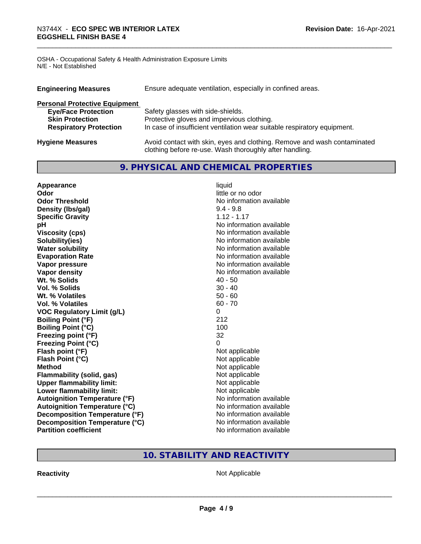OSHA - Occupational Safety & Health Administration Exposure Limits N/E - Not Established

| <b>Engineering Measures</b>          | Ensure adequate ventilation, especially in confined areas.                                                                          |  |  |
|--------------------------------------|-------------------------------------------------------------------------------------------------------------------------------------|--|--|
| <b>Personal Protective Equipment</b> |                                                                                                                                     |  |  |
| <b>Eye/Face Protection</b>           | Safety glasses with side-shields.                                                                                                   |  |  |
| <b>Skin Protection</b>               | Protective gloves and impervious clothing.                                                                                          |  |  |
| <b>Respiratory Protection</b>        | In case of insufficient ventilation wear suitable respiratory equipment.                                                            |  |  |
| <b>Hygiene Measures</b>              | Avoid contact with skin, eyes and clothing. Remove and wash contaminated<br>clothing before re-use. Wash thoroughly after handling. |  |  |

# **9. PHYSICAL AND CHEMICAL PROPERTIES**

| Appearance                           | liquid                   |
|--------------------------------------|--------------------------|
| Odor                                 | little or no odor        |
| <b>Odor Threshold</b>                | No information available |
| Density (Ibs/gal)                    | $9.4 - 9.8$              |
| <b>Specific Gravity</b>              | $1.12 - 1.17$            |
| pH                                   | No information available |
| <b>Viscosity (cps)</b>               | No information available |
| Solubility(ies)                      | No information available |
| <b>Water solubility</b>              | No information available |
| <b>Evaporation Rate</b>              | No information available |
| Vapor pressure                       | No information available |
| Vapor density                        | No information available |
| Wt. % Solids                         | $40 - 50$                |
| Vol. % Solids                        | $30 - 40$                |
| Wt. % Volatiles                      | $50 - 60$                |
| Vol. % Volatiles                     | $60 - 70$                |
| <b>VOC Regulatory Limit (g/L)</b>    | 0                        |
| <b>Boiling Point (°F)</b>            | 212                      |
| <b>Boiling Point (°C)</b>            | 100                      |
| Freezing point (°F)                  | 32                       |
| <b>Freezing Point (°C)</b>           | 0                        |
| Flash point (°F)                     | Not applicable           |
| Flash Point (°C)                     | Not applicable           |
| <b>Method</b>                        | Not applicable           |
| <b>Flammability (solid, gas)</b>     | Not applicable           |
| <b>Upper flammability limit:</b>     | Not applicable           |
| Lower flammability limit:            | Not applicable           |
| <b>Autoignition Temperature (°F)</b> | No information available |
| <b>Autoignition Temperature (°C)</b> | No information available |
| Decomposition Temperature (°F)       | No information available |
| Decomposition Temperature (°C)       | No information available |
| <b>Partition coefficient</b>         | No information available |

# **10. STABILITY AND REACTIVITY**

**Reactivity Not Applicable** Not Applicable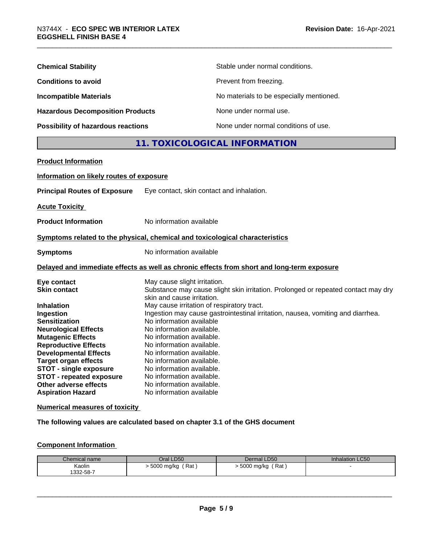| <b>Chemical Stability</b>               | Stable under normal conditions.          |
|-----------------------------------------|------------------------------------------|
| <b>Conditions to avoid</b>              | Prevent from freezing.                   |
| <b>Incompatible Materials</b>           | No materials to be especially mentioned. |
| <b>Hazardous Decomposition Products</b> | None under normal use.                   |
| Possibility of hazardous reactions      | None under normal conditions of use.     |

# **11. TOXICOLOGICAL INFORMATION**

| <b>Product Information</b>                                                                                                                                                                                                                                                                                                                                |                                                                                                                                                                                                                                                                                                                                                                                                                                                                                                                                                      |
|-----------------------------------------------------------------------------------------------------------------------------------------------------------------------------------------------------------------------------------------------------------------------------------------------------------------------------------------------------------|------------------------------------------------------------------------------------------------------------------------------------------------------------------------------------------------------------------------------------------------------------------------------------------------------------------------------------------------------------------------------------------------------------------------------------------------------------------------------------------------------------------------------------------------------|
| Information on likely routes of exposure                                                                                                                                                                                                                                                                                                                  |                                                                                                                                                                                                                                                                                                                                                                                                                                                                                                                                                      |
| <b>Principal Routes of Exposure</b>                                                                                                                                                                                                                                                                                                                       | Eye contact, skin contact and inhalation.                                                                                                                                                                                                                                                                                                                                                                                                                                                                                                            |
| <b>Acute Toxicity</b>                                                                                                                                                                                                                                                                                                                                     |                                                                                                                                                                                                                                                                                                                                                                                                                                                                                                                                                      |
| <b>Product Information</b>                                                                                                                                                                                                                                                                                                                                | No information available                                                                                                                                                                                                                                                                                                                                                                                                                                                                                                                             |
|                                                                                                                                                                                                                                                                                                                                                           | Symptoms related to the physical, chemical and toxicological characteristics                                                                                                                                                                                                                                                                                                                                                                                                                                                                         |
| <b>Symptoms</b>                                                                                                                                                                                                                                                                                                                                           | No information available                                                                                                                                                                                                                                                                                                                                                                                                                                                                                                                             |
|                                                                                                                                                                                                                                                                                                                                                           | Delayed and immediate effects as well as chronic effects from short and long-term exposure                                                                                                                                                                                                                                                                                                                                                                                                                                                           |
| Eye contact<br><b>Skin contact</b><br><b>Inhalation</b><br>Ingestion<br><b>Sensitization</b><br><b>Neurological Effects</b><br><b>Mutagenic Effects</b><br><b>Reproductive Effects</b><br><b>Developmental Effects</b><br><b>Target organ effects</b><br><b>STOT - single exposure</b><br><b>STOT - repeated exposure</b><br><b>Other adverse effects</b> | May cause slight irritation.<br>Substance may cause slight skin irritation. Prolonged or repeated contact may dry<br>skin and cause irritation.<br>May cause irritation of respiratory tract.<br>Ingestion may cause gastrointestinal irritation, nausea, vomiting and diarrhea.<br>No information available<br>No information available.<br>No information available.<br>No information available.<br>No information available.<br>No information available.<br>No information available.<br>No information available.<br>No information available. |

**Numerical measures of toxicity**

**The following values are calculated based on chapter 3.1 of the GHS document**

# **Component Information**

| Chemical name | Oral LD50           | Dermal LD50        | <b>Inhalation LC50</b> |
|---------------|---------------------|--------------------|------------------------|
| Kaolin        | Rat<br>. 5000 mg/kg | Rat,<br>5000 mg/kg |                        |
| 1332-58-7     |                     |                    |                        |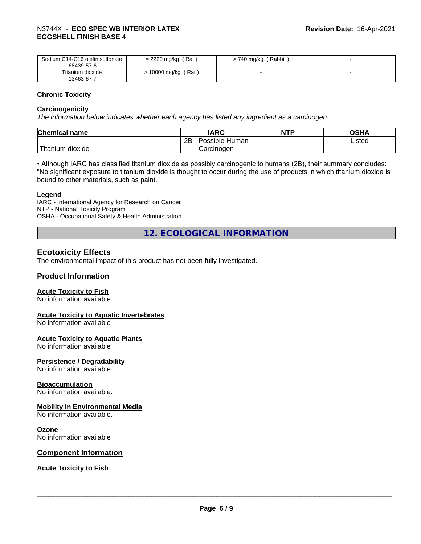| Sodium C14-C16 olefin sulfonate<br>68439-57-6 | $= 2220$ mg/kg (Rat) | ' Rabbit '<br>> 740 mg/kg / |  |
|-----------------------------------------------|----------------------|-----------------------------|--|
| Titanium dioxide<br>13463-67-7                | 10000 mg/kg (Rat)    |                             |  |

# **Chronic Toxicity**

# **Carcinogenicity**

*The information below indicateswhether each agency has listed any ingredient as a carcinogen:.*

| <b>Chemical name</b>             | <b>IARC</b>          | <b>NTP</b> | OSHA   |
|----------------------------------|----------------------|------------|--------|
|                                  | Possible Human<br>2B |            | Listed |
| $\mathbf{r}$<br>Fitanium dioxide | Carcinogen           |            |        |

• Although IARC has classified titanium dioxide as possibly carcinogenic to humans (2B), their summary concludes: "No significant exposure to titanium dioxide is thought to occur during the use of products in which titanium dioxide is bound to other materials, such as paint."

# **Legend**

IARC - International Agency for Research on Cancer NTP - National Toxicity Program OSHA - Occupational Safety & Health Administration

**12. ECOLOGICAL INFORMATION**

# **Ecotoxicity Effects**

The environmental impact of this product has not been fully investigated.

# **Product Information**

# **Acute Toxicity to Fish**

No information available

# **Acute Toxicity to Aquatic Invertebrates**

No information available

# **Acute Toxicity to Aquatic Plants**

No information available

# **Persistence / Degradability**

No information available.

# **Bioaccumulation**

No information available.

# **Mobility in Environmental Media**

No information available.

# **Ozone**

No information available

# **Component Information**

# **Acute Toxicity to Fish**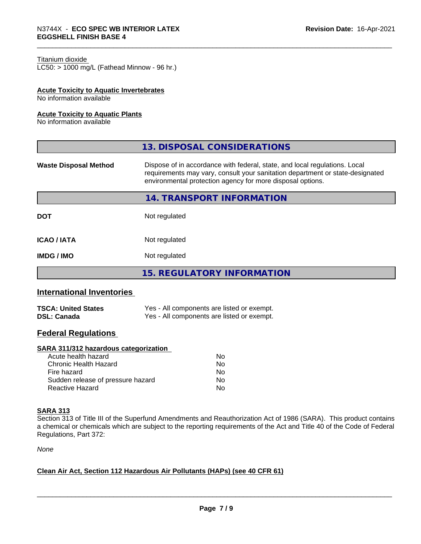#### Titanium dioxide

 $LC50:$  > 1000 mg/L (Fathead Minnow - 96 hr.)

# **Acute Toxicity to Aquatic Invertebrates**

No information available

#### **Acute Toxicity to Aquatic Plants**

No information available

|                              | 13. DISPOSAL CONSIDERATIONS                                                                                                                                                                                               |  |
|------------------------------|---------------------------------------------------------------------------------------------------------------------------------------------------------------------------------------------------------------------------|--|
| <b>Waste Disposal Method</b> | Dispose of in accordance with federal, state, and local regulations. Local<br>requirements may vary, consult your sanitation department or state-designated<br>environmental protection agency for more disposal options. |  |
|                              | <b>14. TRANSPORT INFORMATION</b>                                                                                                                                                                                          |  |
| <b>DOT</b>                   | Not regulated                                                                                                                                                                                                             |  |
| <b>ICAO / IATA</b>           | Not regulated                                                                                                                                                                                                             |  |
| <b>IMDG/IMO</b>              | Not regulated                                                                                                                                                                                                             |  |
|                              | <b>15. REGULATORY INFORMATION</b>                                                                                                                                                                                         |  |

# **International Inventories**

| <b>TSCA: United States</b> | Yes - All components are listed or exempt. |
|----------------------------|--------------------------------------------|
| <b>DSL: Canada</b>         | Yes - All components are listed or exempt. |

# **Federal Regulations**

#### **SARA 311/312 hazardous categorization**

| Acute health hazard               | Nο |  |
|-----------------------------------|----|--|
| Chronic Health Hazard             | Nο |  |
| Fire hazard                       | N٥ |  |
| Sudden release of pressure hazard | Nο |  |
| Reactive Hazard                   | Nο |  |

#### **SARA 313**

Section 313 of Title III of the Superfund Amendments and Reauthorization Act of 1986 (SARA). This product contains a chemical or chemicals which are subject to the reporting requirements of the Act and Title 40 of the Code of Federal Regulations, Part 372:

*None*

# **Clean Air Act,Section 112 Hazardous Air Pollutants (HAPs) (see 40 CFR 61)**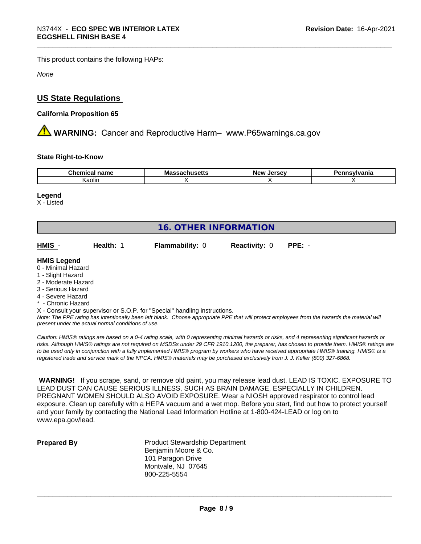This product contains the following HAPs:

*None*

# **US State Regulations**

# **California Proposition 65**

**A WARNING:** Cancer and Reproductive Harm– www.P65warnings.ca.gov

# **State Right-to-Know**

| ∽he∽<br>name<br>тнса | .,<br>Mass<br>nuscus | New<br>וום סי<br>ıo<br>. . | vivania |
|----------------------|----------------------|----------------------------|---------|
| Kaolin               |                      |                            |         |

#### **Legend**

X - Listed

| <b>16. OTHER INFORMATION</b>                                                                                                                          |           |                        |                      |          |  |
|-------------------------------------------------------------------------------------------------------------------------------------------------------|-----------|------------------------|----------------------|----------|--|
| HMIS -                                                                                                                                                | Health: 1 | <b>Flammability: 0</b> | <b>Reactivity: 0</b> | $PPE: -$ |  |
| <b>HMIS Legend</b><br>0 - Minimal Hazard<br>1 - Slight Hazard<br>2 - Moderate Hazard<br>3 - Serious Hazard<br>4 - Severe Hazard<br>* - Chronic Hazard |           |                        |                      |          |  |

*Note: The PPE rating has intentionally been left blank. Choose appropriate PPE that will protect employees from the hazards the material will present under the actual normal conditions of use.*

*Caution: HMISÒ ratings are based on a 0-4 rating scale, with 0 representing minimal hazards or risks, and 4 representing significant hazards or risks. Although HMISÒ ratings are not required on MSDSs under 29 CFR 1910.1200, the preparer, has chosen to provide them. HMISÒ ratings are to be used only in conjunction with a fully implemented HMISÒ program by workers who have received appropriate HMISÒ training. HMISÒ is a registered trade and service mark of the NPCA. HMISÒ materials may be purchased exclusively from J. J. Keller (800) 327-6868.*

 **WARNING!** If you scrape, sand, or remove old paint, you may release lead dust. LEAD IS TOXIC. EXPOSURE TO LEAD DUST CAN CAUSE SERIOUS ILLNESS, SUCH AS BRAIN DAMAGE, ESPECIALLY IN CHILDREN. PREGNANT WOMEN SHOULD ALSO AVOID EXPOSURE. Wear a NIOSH approved respirator to control lead exposure. Clean up carefully with a HEPA vacuum and a wet mop. Before you start, find out how to protect yourself and your family by contacting the National Lead Information Hotline at 1-800-424-LEAD or log on to www.epa.gov/lead.

**Prepared By** Product Stewardship Department Benjamin Moore & Co. 101 Paragon Drive Montvale, NJ 07645 800-225-5554